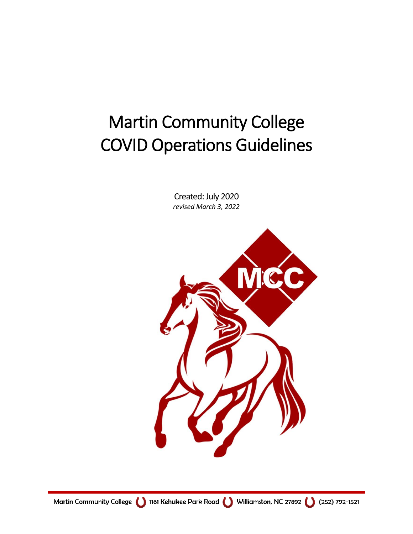# Martin Community College COVID Operations Guidelines

Created: July 2020 *revised March 3, 2022*

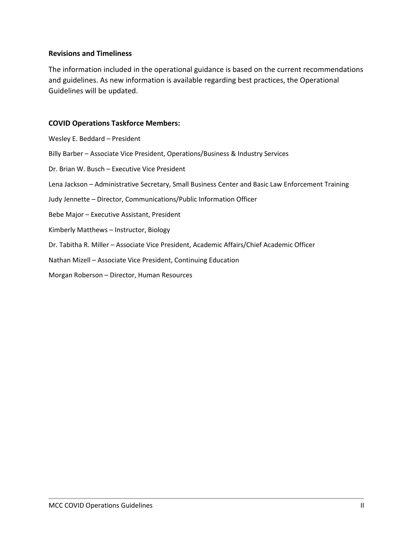#### **Revisions and Timeliness**

The information included in the operational guidance is based on the current recommendations and guidelines. As new information is available regarding best practices, the Operational Guidelines will be updated.

#### **COVID Operations Taskforce Members:**

| Wesley E. Beddard - President                                                                     |
|---------------------------------------------------------------------------------------------------|
| Billy Barber - Associate Vice President, Operations/Business & Industry Services                  |
| Dr. Brian W. Busch - Executive Vice President                                                     |
| Lena Jackson - Administrative Secretary, Small Business Center and Basic Law Enforcement Training |
| Judy Jennette - Director, Communications/Public Information Officer                               |
| Bebe Major – Executive Assistant, President                                                       |
| Kimberly Matthews - Instructor, Biology                                                           |
| Dr. Tabitha R. Miller - Associate Vice President, Academic Affairs/Chief Academic Officer         |
| Nathan Mizell – Associate Vice President, Continuing Education                                    |
| Morgan Roberson - Director, Human Resources                                                       |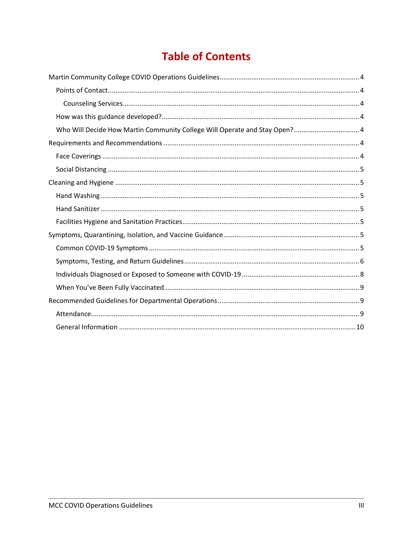# **Table of Contents**

| Who Will Decide How Martin Community College Will Operate and Stay Open? 4 |
|----------------------------------------------------------------------------|
|                                                                            |
|                                                                            |
|                                                                            |
|                                                                            |
|                                                                            |
|                                                                            |
|                                                                            |
|                                                                            |
|                                                                            |
|                                                                            |
|                                                                            |
|                                                                            |
|                                                                            |
|                                                                            |
|                                                                            |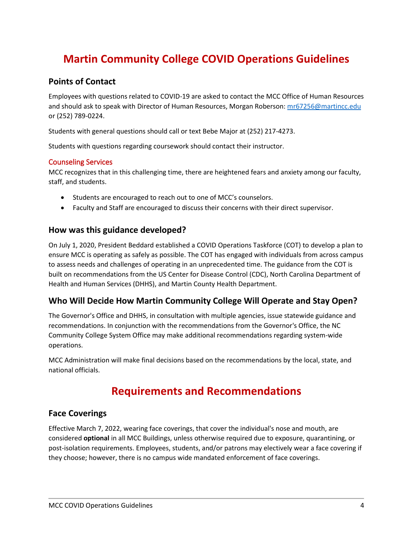# <span id="page-3-0"></span>**Martin Community College COVID Operations Guidelines**

#### <span id="page-3-1"></span>**Points of Contact**

Employees with questions related to COVID-19 are asked to contact the MCC Office of Human Resources and should ask to speak with Director of Human Resources, Morgan Roberson: [mr67256@martincc.edu](mailto:mr67256@martincc.edu) or (252) 789-0224.

Students with general questions should call or text Bebe Major at (252) 217-4273.

Students with questions regarding coursework should contact their instructor.

#### <span id="page-3-2"></span>Counseling Services

MCC recognizes that in this challenging time, there are heightened fears and anxiety among our faculty, staff, and students.

- Students are encouraged to reach out to one of MCC's counselors.
- Faculty and Staff are encouraged to discuss their concerns with their direct supervisor.

#### <span id="page-3-3"></span>**How was this guidance developed?**

On July 1, 2020, President Beddard established a COVID Operations Taskforce (COT) to develop a plan to ensure MCC is operating as safely as possible. The COT has engaged with individuals from across campus to assess needs and challenges of operating in an unprecedented time. The guidance from the COT is built on recommendations from the US Center for Disease Control (CDC), North Carolina Department of Health and Human Services (DHHS), and Martin County Health Department.

#### <span id="page-3-4"></span>**Who Will Decide How Martin Community College Will Operate and Stay Open?**

The Governor's Office and DHHS, in consultation with multiple agencies, issue statewide guidance and recommendations. In conjunction with the recommendations from the Governor's Office, the NC Community College System Office may make additional recommendations regarding system-wide operations.

<span id="page-3-5"></span>MCC Administration will make final decisions based on the recommendations by the local, state, and national officials.

### **Requirements and Recommendations**

#### <span id="page-3-6"></span>**Face Coverings**

Effective March 7, 2022, wearing face coverings, that cover the individual's nose and mouth, are considered **optional** in all MCC Buildings, unless otherwise required due to exposure, quarantining, or post-isolation requirements. Employees, students, and/or patrons may electively wear a face covering if they choose; however, there is no campus wide mandated enforcement of face coverings.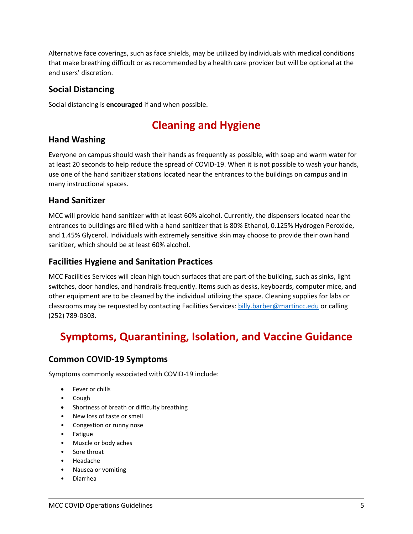Alternative face coverings, such as face shields, may be utilized by individuals with medical conditions that make breathing difficult or as recommended by a health care provider but will be optional at the end users' discretion.

#### <span id="page-4-0"></span>**Social Distancing**

<span id="page-4-1"></span>Social distancing is **encouraged** if and when possible.

# **Cleaning and Hygiene**

#### <span id="page-4-2"></span>**Hand Washing**

Everyone on campus should wash their hands as frequently as possible, with soap and warm water for at least 20 seconds to help reduce the spread of COVID-19. When it is not possible to wash your hands, use one of the hand sanitizer stations located near the entrances to the buildings on campus and in many instructional spaces.

#### <span id="page-4-3"></span>**Hand Sanitizer**

MCC will provide hand sanitizer with at least 60% alcohol. Currently, the dispensers located near the entrances to buildings are filled with a hand sanitizer that is 80% Ethanol, 0.125% Hydrogen Peroxide, and 1.45% Glycerol. Individuals with extremely sensitive skin may choose to provide their own hand sanitizer, which should be at least 60% alcohol.

#### <span id="page-4-4"></span>**Facilities Hygiene and Sanitation Practices**

MCC Facilities Services will clean high touch surfaces that are part of the building, such as sinks, light switches, door handles, and handrails frequently. Items such as desks, keyboards, computer mice, and other equipment are to be cleaned by the individual utilizing the space. Cleaning supplies for labs or classrooms may be requested by contacting Facilities Services: [billy.barber@martincc.edu](mailto:billy.barber@martincc.edu) or calling (252) 789-0303.

# <span id="page-4-5"></span>**Symptoms, Quarantining, Isolation, and Vaccine Guidance**

#### <span id="page-4-6"></span>**Common COVID-19 Symptoms**

Symptoms commonly associated with COVID-19 include:

- Fever or chills
- Cough
- Shortness of breath or difficulty breathing
- New loss of taste or smell
- Congestion or runny nose
- Fatigue
- Muscle or body aches
- Sore throat
- Headache
- Nausea or vomiting
- Diarrhea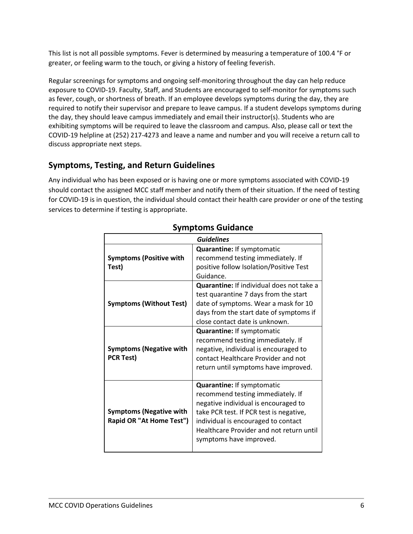This list is not all possible symptoms. Fever is determined by measuring a temperature of 100.4 °F or greater, or feeling warm to the touch, or giving a history of feeling feverish.

Regular screenings for symptoms and ongoing self-monitoring throughout the day can help reduce exposure to COVID-19. Faculty, Staff, and Students are encouraged to self-monitor for symptoms such as fever, cough, or shortness of breath. If an employee develops symptoms during the day, they are required to notify their supervisor and prepare to leave campus. If a student develops symptoms during the day, they should leave campus immediately and email their instructor(s). Students who are exhibiting symptoms will be required to leave the classroom and campus. Also, please call or text the COVID-19 helpline at (252) 217-4273 and leave a name and number and you will receive a return call to discuss appropriate next steps.

#### <span id="page-5-0"></span>**Symptoms, Testing, and Return Guidelines**

Any individual who has been exposed or is having one or more symptoms associated with COVID-19 should contact the assigned MCC staff member and notify them of their situation. If the need of testing for COVID-19 is in question, the individual should contact their health care provider or one of the testing services to determine if testing is appropriate.

| <b>Guidelines</b>                                          |                                                                                                                                                                                                                                                                                   |  |
|------------------------------------------------------------|-----------------------------------------------------------------------------------------------------------------------------------------------------------------------------------------------------------------------------------------------------------------------------------|--|
| <b>Symptoms (Positive with</b><br>Test)                    | Quarantine: If symptomatic<br>recommend testing immediately. If<br>positive follow Isolation/Positive Test<br>Guidance.                                                                                                                                                           |  |
| <b>Symptoms (Without Test)</b>                             | Quarantine: If individual does not take a<br>test quarantine 7 days from the start<br>date of symptoms. Wear a mask for 10<br>days from the start date of symptoms if<br>close contact date is unknown.<br><b>Quarantine: If symptomatic</b><br>recommend testing immediately. If |  |
| <b>Symptoms (Negative with</b><br><b>PCR Test)</b>         | negative, individual is encouraged to<br>contact Healthcare Provider and not<br>return until symptoms have improved.                                                                                                                                                              |  |
| <b>Symptoms (Negative with</b><br>Rapid OR "At Home Test") | <b>Quarantine: If symptomatic</b><br>recommend testing immediately. If<br>negative individual is encouraged to<br>take PCR test. If PCR test is negative,<br>individual is encouraged to contact<br>Healthcare Provider and not return until<br>symptoms have improved.           |  |

#### **Symptoms Guidance**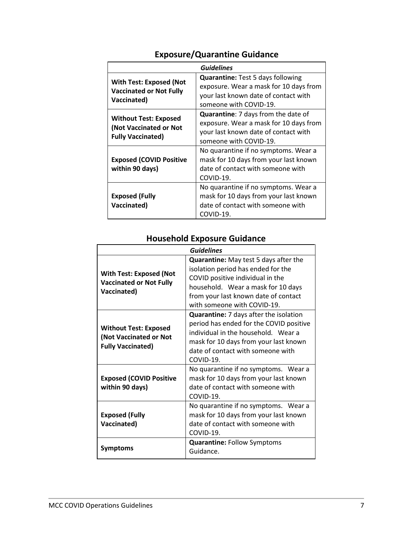| <b>Guidelines</b>                                                                  |                                                                                                                                                      |  |  |
|------------------------------------------------------------------------------------|------------------------------------------------------------------------------------------------------------------------------------------------------|--|--|
| <b>With Test: Exposed (Not</b><br><b>Vaccinated or Not Fully</b><br>Vaccinated)    | <b>Quarantine:</b> Test 5 days following<br>exposure. Wear a mask for 10 days from<br>your last known date of contact with<br>someone with COVID-19. |  |  |
| <b>Without Test: Exposed</b><br>(Not Vaccinated or Not<br><b>Fully Vaccinated)</b> | Quarantine: 7 days from the date of<br>exposure. Wear a mask for 10 days from<br>your last known date of contact with<br>someone with COVID-19.      |  |  |
| <b>Exposed (COVID Positive</b><br>within 90 days)                                  | No quarantine if no symptoms. Wear a<br>mask for 10 days from your last known<br>date of contact with someone with<br>COVID-19.                      |  |  |
| <b>Exposed (Fully</b><br>Vaccinated)                                               | No quarantine if no symptoms. Wear a<br>mask for 10 days from your last known<br>date of contact with someone with<br>COVID-19.                      |  |  |

## **Exposure/Quarantine Guidance**

## **Household Exposure Guidance**

| <b>Guidelines</b>                                                                  |                                                                                                                                                                                                                                     |  |
|------------------------------------------------------------------------------------|-------------------------------------------------------------------------------------------------------------------------------------------------------------------------------------------------------------------------------------|--|
| <b>With Test: Exposed (Not</b><br><b>Vaccinated or Not Fully</b><br>Vaccinated)    | <b>Quarantine:</b> May test 5 days after the<br>isolation period has ended for the<br>COVID positive individual in the<br>household. Wear a mask for 10 days<br>from your last known date of contact<br>with someone with COVID-19. |  |
| <b>Without Test: Exposed</b><br>(Not Vaccinated or Not<br><b>Fully Vaccinated)</b> | Quarantine: 7 days after the isolation<br>period has ended for the COVID positive<br>individual in the household. Wear a<br>mask for 10 days from your last known<br>date of contact with someone with<br>$COVID-19.$               |  |
| <b>Exposed (COVID Positive</b><br>within 90 days)                                  | No quarantine if no symptoms. Wear a<br>mask for 10 days from your last known<br>date of contact with someone with<br>COVID-19.                                                                                                     |  |
| <b>Exposed (Fully</b><br>Vaccinated)                                               | No quarantine if no symptoms. Wear a<br>mask for 10 days from your last known<br>date of contact with someone with<br>COVID-19.                                                                                                     |  |
| Symptoms                                                                           | <b>Quarantine: Follow Symptoms</b><br>Guidance.                                                                                                                                                                                     |  |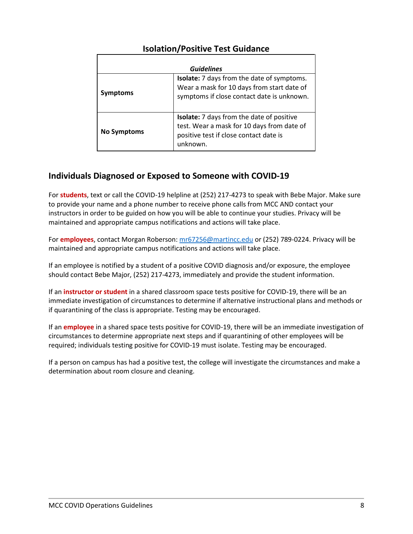| <b>Guidelines</b>  |                                                                                                                                               |  |  |  |
|--------------------|-----------------------------------------------------------------------------------------------------------------------------------------------|--|--|--|
| <b>Symptoms</b>    | Isolate: 7 days from the date of symptoms.<br>Wear a mask for 10 days from start date of<br>symptoms if close contact date is unknown.        |  |  |  |
| <b>No Symptoms</b> | Isolate: 7 days from the date of positive<br>test. Wear a mask for 10 days from date of<br>positive test if close contact date is<br>unknown. |  |  |  |

#### **Isolation/Positive Test Guidance**

#### <span id="page-7-0"></span>**Individuals Diagnosed or Exposed to Someone with COVID-19**

For **students**, text or call the COVID-19 helpline at (252) 217-4273 to speak with Bebe Major. Make sure to provide your name and a phone number to receive phone calls from MCC AND contact your instructors in order to be guided on how you will be able to continue your studies. Privacy will be maintained and appropriate campus notifications and actions will take place.

For **employees**, contact Morgan Roberson: [mr67256@martincc.edu](mailto:mr67256@martincc.edu) or (252) 789-0224. Privacy will be maintained and appropriate campus notifications and actions will take place.

If an employee is notified by a student of a positive COVID diagnosis and/or exposure, the employee should contact Bebe Major, (252) 217-4273, immediately and provide the student information.

If an **instructor or student** in a shared classroom space tests positive for COVID-19, there will be an immediate investigation of circumstances to determine if alternative instructional plans and methods or if quarantining of the class is appropriate. Testing may be encouraged.

If an **employee** in a shared space tests positive for COVID-19, there will be an immediate investigation of circumstances to determine appropriate next steps and if quarantining of other employees will be required; individuals testing positive for COVID-19 must isolate. Testing may be encouraged.

If a person on campus has had a positive test, the college will investigate the circumstances and make a determination about room closure and cleaning.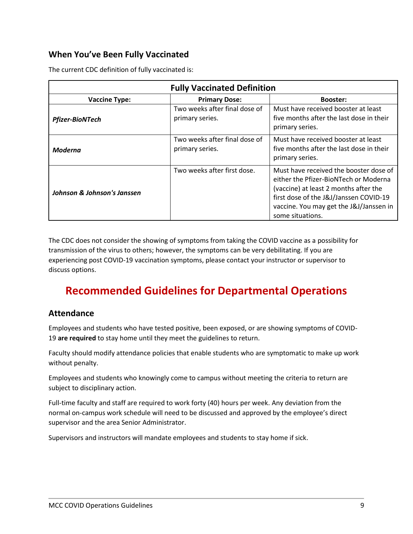#### <span id="page-8-0"></span>**When You've Been Fully Vaccinated**

| <b>Fully Vaccinated Definition</b> |                                                  |                                                                                                                                                                                                                                   |  |  |
|------------------------------------|--------------------------------------------------|-----------------------------------------------------------------------------------------------------------------------------------------------------------------------------------------------------------------------------------|--|--|
| <b>Vaccine Type:</b>               | <b>Primary Dose:</b>                             | <b>Booster:</b>                                                                                                                                                                                                                   |  |  |
| <b>Pfizer-BioNTech</b>             | Two weeks after final dose of<br>primary series. | Must have received booster at least<br>five months after the last dose in their<br>primary series.                                                                                                                                |  |  |
| Moderna                            | Two weeks after final dose of<br>primary series. | Must have received booster at least<br>five months after the last dose in their<br>primary series.                                                                                                                                |  |  |
| Johnson & Johnson's Janssen        | Two weeks after first dose.                      | Must have received the booster dose of<br>either the Pfizer-BioNTech or Moderna<br>(vaccine) at least 2 months after the<br>first dose of the J&J/Janssen COVID-19<br>vaccine. You may get the J&J/Janssen in<br>some situations. |  |  |

The current CDC definition of fully vaccinated is:

The CDC does not consider the showing of symptoms from taking the COVID vaccine as a possibility for transmission of the virus to others; however, the symptoms can be very debilitating. If you are experiencing post COVID-19 vaccination symptoms, please contact your instructor or supervisor to discuss options.

# <span id="page-8-1"></span>**Recommended Guidelines for Departmental Operations**

#### <span id="page-8-2"></span>**Attendance**

Employees and students who have tested positive, been exposed, or are showing symptoms of COVID-19 **are required** to stay home until they meet the guidelines to return.

Faculty should modify attendance policies that enable students who are symptomatic to make up work without penalty.

Employees and students who knowingly come to campus without meeting the criteria to return are subject to disciplinary action.

Full-time faculty and staff are required to work forty (40) hours per week. Any deviation from the normal on-campus work schedule will need to be discussed and approved by the employee's direct supervisor and the area Senior Administrator.

Supervisors and instructors will mandate employees and students to stay home if sick.